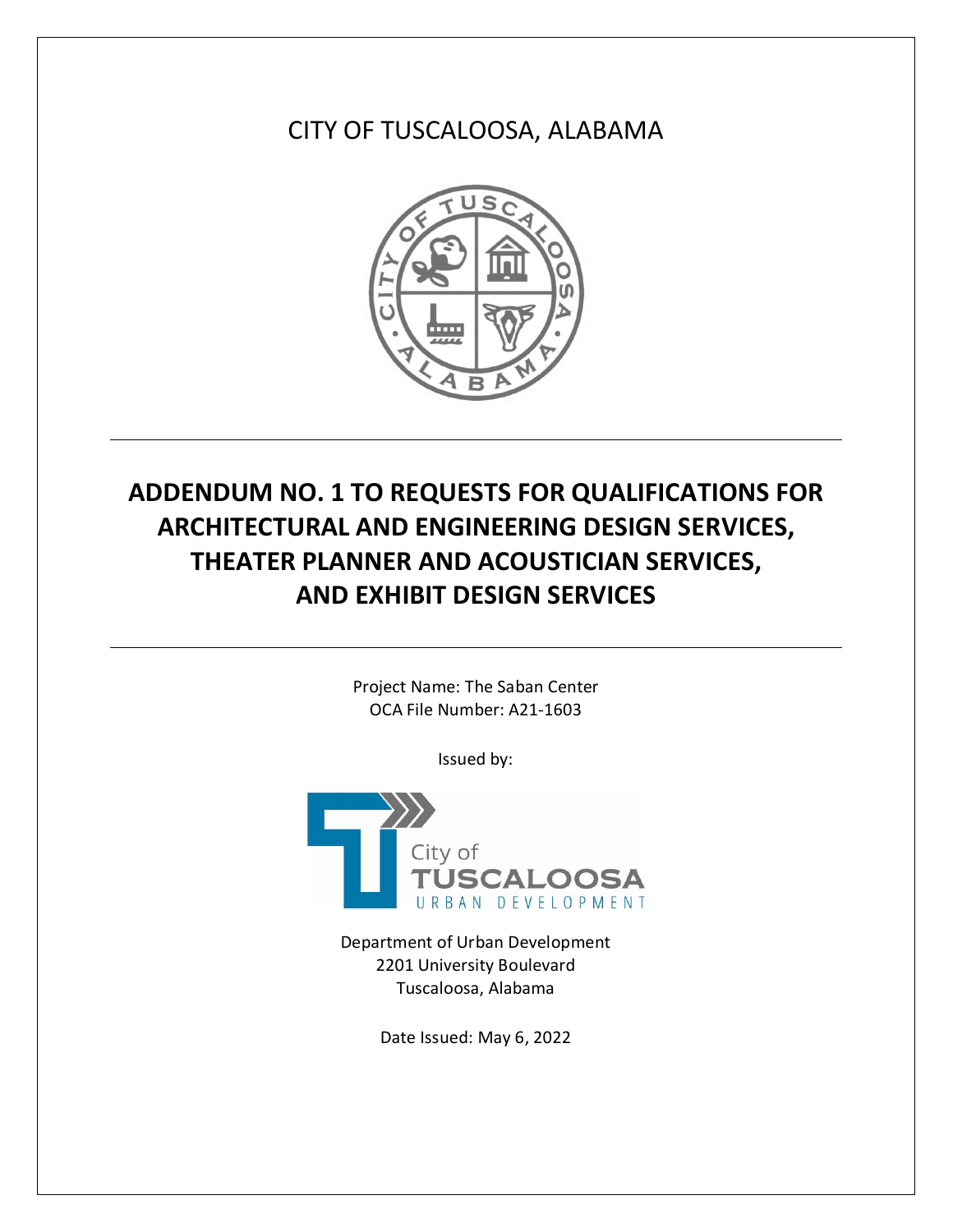CITY OF TUSCALOOSA, ALABAMA



# **ADDENDUM NO. 1 TO REQUESTS FOR QUALIFICATIONS FOR ARCHITECTURAL AND ENGINEERING DESIGN SERVICES, THEATER PLANNER AND ACOUSTICIAN SERVICES, AND EXHIBIT DESIGN SERVICES**

Project Name: The Saban Center OCA File Number: A21-1603

Issued by:



Department of Urban Development 2201 University Boulevard Tuscaloosa, Alabama

Date Issued: May 6, 2022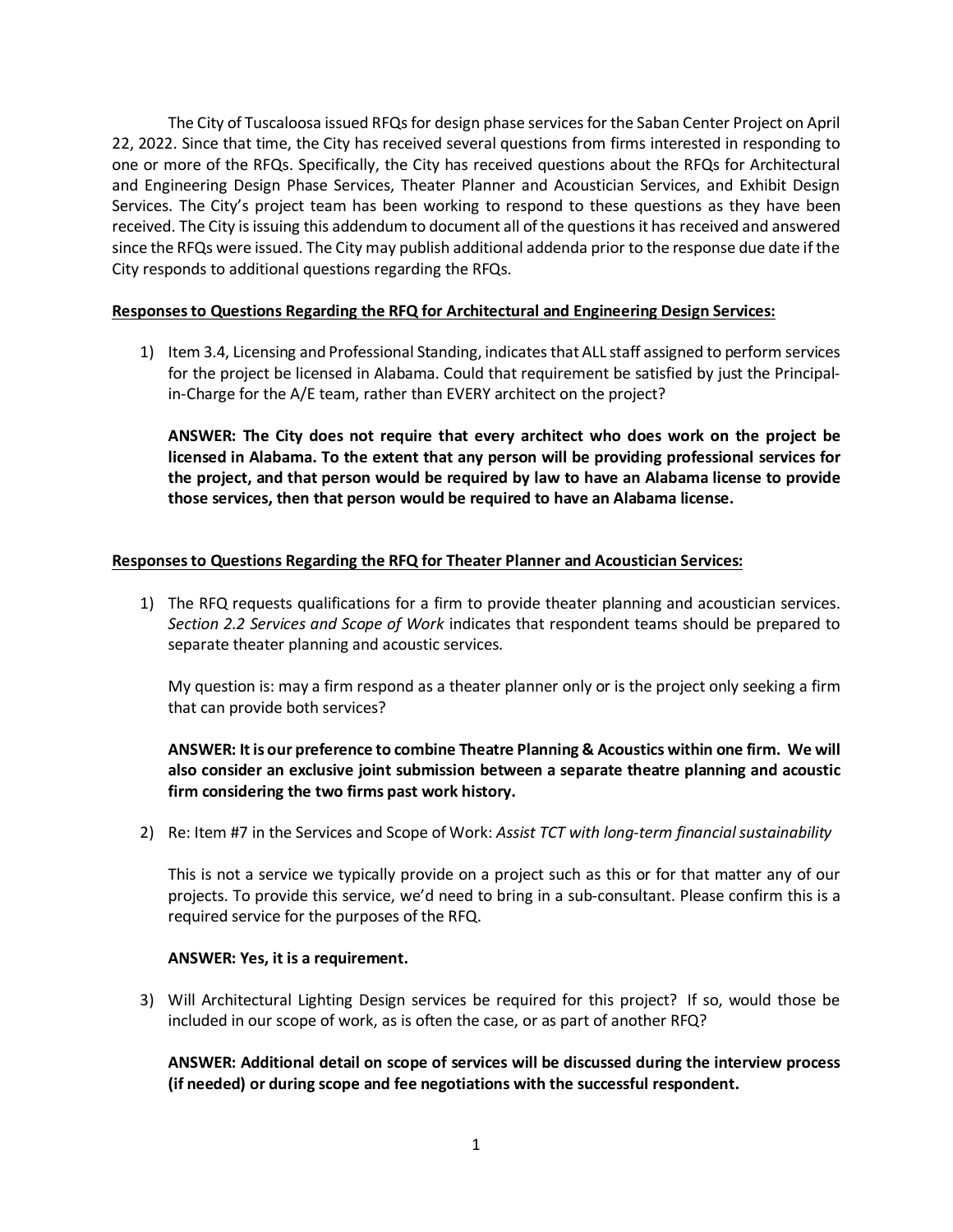The City of Tuscaloosa issued RFQs for design phase services for the Saban Center Project on April 22, 2022. Since that time, the City has received several questions from firms interested in responding to one or more of the RFQs. Specifically, the City has received questions about the RFQs for Architectural and Engineering Design Phase Services, Theater Planner and Acoustician Services, and Exhibit Design Services. The City's project team has been working to respond to these questions as they have been received. The City is issuing this addendum to document all of the questions it has received and answered since the RFQs were issued. The City may publish additional addenda prior to the response due date if the City responds to additional questions regarding the RFQs.

#### **Responses to Questions Regarding the RFQ for Architectural and Engineering Design Services:**

1) Item 3.4, Licensing and Professional Standing, indicates that ALL staff assigned to perform services for the project be licensed in Alabama. Could that requirement be satisfied by just the Principalin-Charge for the A/E team, rather than EVERY architect on the project?

**ANSWER: The City does not require that every architect who does work on the project be licensed in Alabama. To the extent that any person will be providing professional services for the project, and that person would be required by law to have an Alabama license to provide those services, then that person would be required to have an Alabama license.**

# **Responses to Questions Regarding the RFQ for Theater Planner and Acoustician Services:**

1) The RFQ requests qualifications for a firm to provide theater planning and acoustician services. *Section 2.2 Services and Scope of Work* indicates that respondent teams should be prepared to separate theater planning and acoustic services.

My question is: may a firm respond as a theater planner only or is the project only seeking a firm that can provide both services?

# **ANSWER: It is our preference to combine Theatre Planning & Acoustics within one firm. We will also consider an exclusive joint submission between a separate theatre planning and acoustic firm considering the two firms past work history.**

2) Re: Item #7 in the Services and Scope of Work: *Assist TCT with long-term financial sustainability*

This is not a service we typically provide on a project such as this or for that matter any of our projects. To provide this service, we'd need to bring in a sub-consultant. Please confirm this is a required service for the purposes of the RFQ.

## **ANSWER: Yes, it is a requirement.**

3) Will Architectural Lighting Design services be required for this project? If so, would those be included in our scope of work, as is often the case, or as part of another RFQ?

**ANSWER: Additional detail on scope of services will be discussed during the interview process (if needed) or during scope and fee negotiations with the successful respondent.**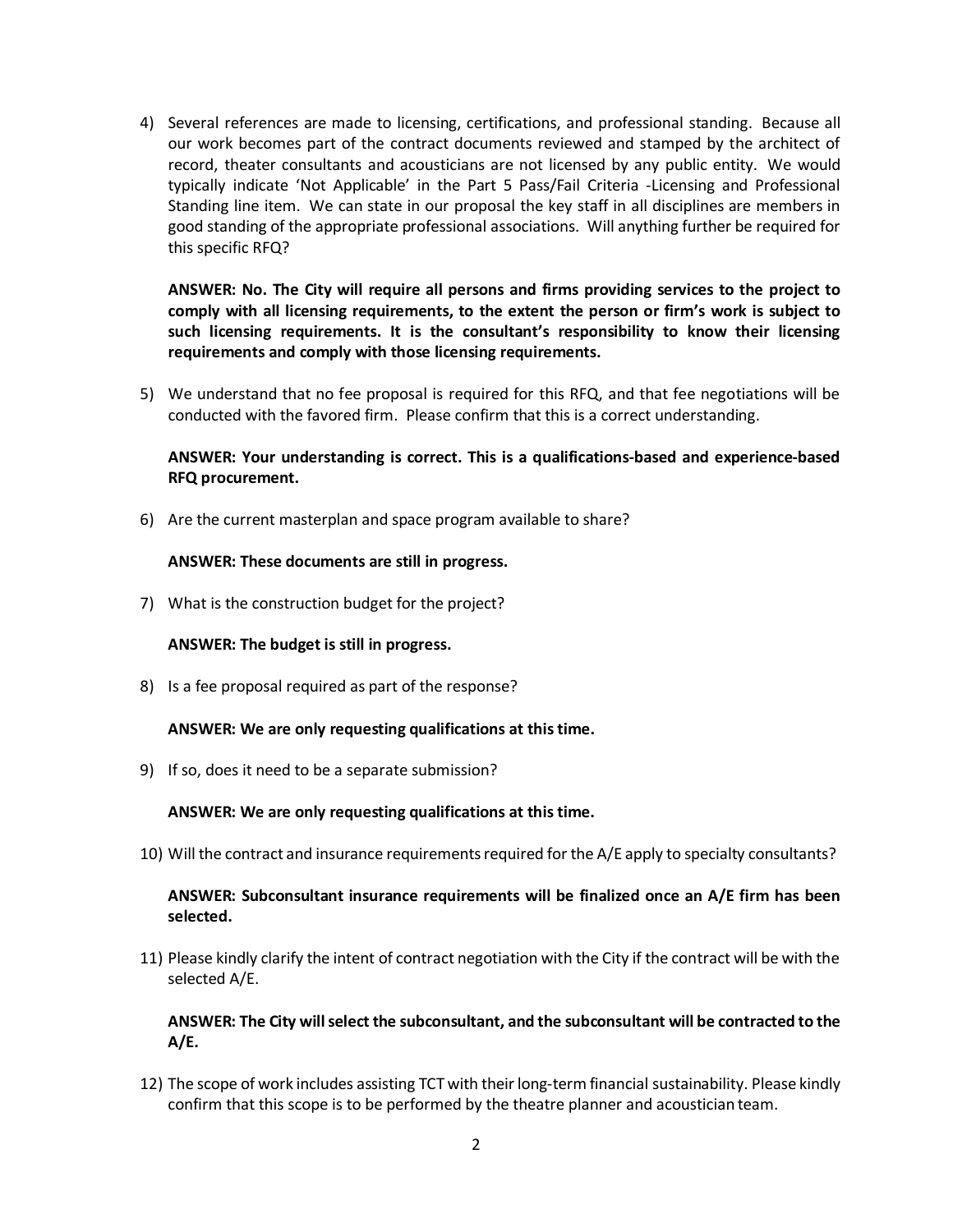4) Several references are made to licensing, certifications, and professional standing. Because all our work becomes part of the contract documents reviewed and stamped by the architect of record, theater consultants and acousticians are not licensed by any public entity. We would typically indicate 'Not Applicable' in the Part 5 Pass/Fail Criteria -Licensing and Professional Standing line item. We can state in our proposal the key staff in all disciplines are members in good standing of the appropriate professional associations. Will anything further be required for this specific RFQ?

**ANSWER: No. The City will require all persons and firms providing services to the project to comply with all licensing requirements, to the extent the person or firm's work is subject to such licensing requirements. It is the consultant's responsibility to know their licensing requirements and comply with those licensing requirements.**

5) We understand that no fee proposal is required for this RFQ, and that fee negotiations will be conducted with the favored firm. Please confirm that this is a correct understanding.

## **ANSWER: Your understanding is correct. This is a qualifications-based and experience-based RFQ procurement.**

6) Are the current masterplan and space program available to share?

## **ANSWER: These documents are still in progress.**

7) What is the construction budget for the project?

## **ANSWER: The budget is still in progress.**

8) Is a fee proposal required as part of the response?

## **ANSWER: We are only requesting qualifications at this time.**

9) If so, does it need to be a separate submission?

## **ANSWER: We are only requesting qualifications at this time.**

10) Will the contract and insurance requirements required for the A/E apply to specialty consultants?

## **ANSWER: Subconsultant insurance requirements will be finalized once an A/E firm has been selected.**

11) Please kindly clarify the intent of contract negotiation with the City if the contract will be with the selected A/E.

**ANSWER: The City will select the subconsultant, and the subconsultant will be contracted to the A/E.**

12) The scope of work includes assisting TCT with their long-term financial sustainability. Please kindly confirm that this scope is to be performed by the theatre planner and acoustician team.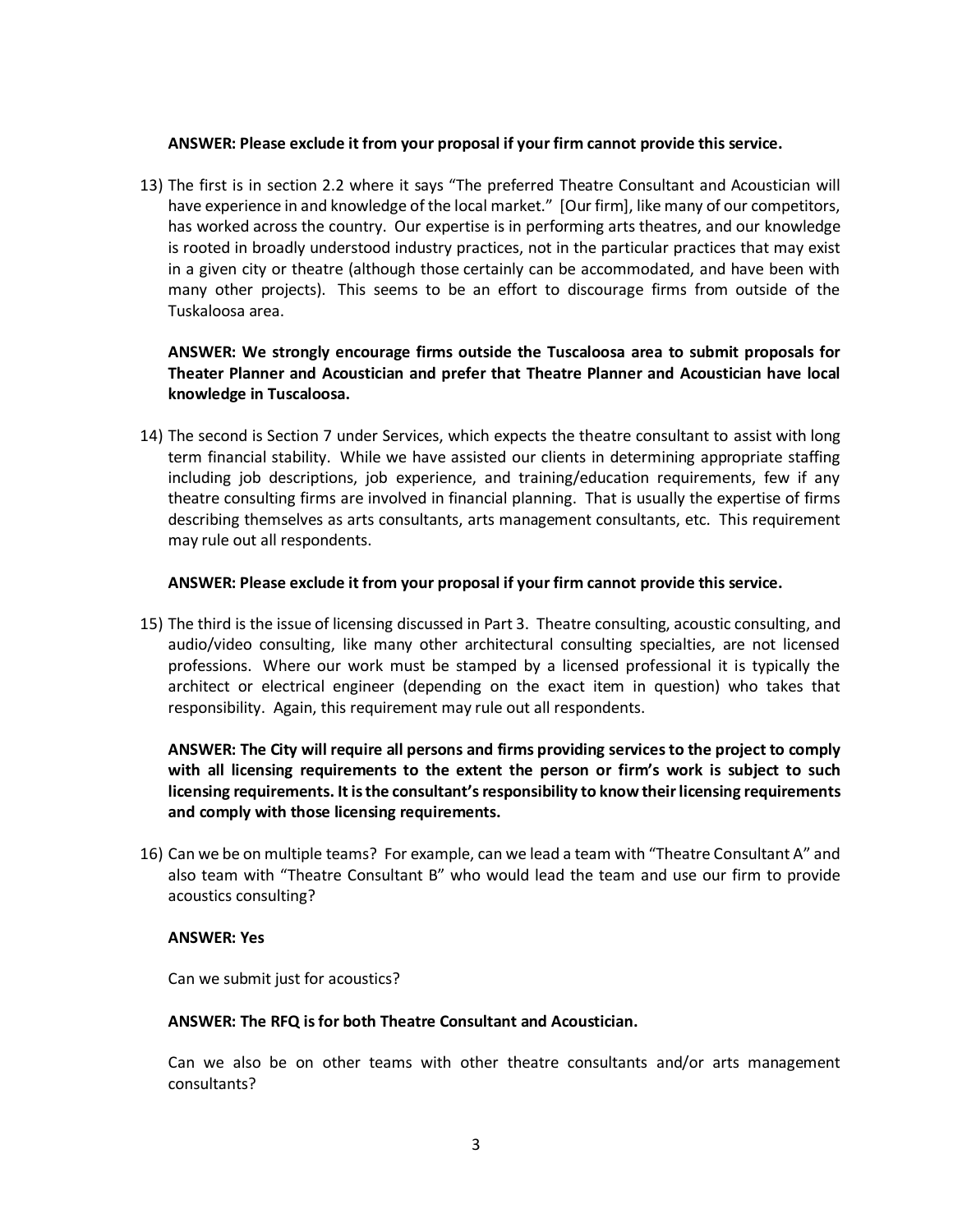#### **ANSWER: Please exclude it from your proposal if your firm cannot provide this service.**

13) The first is in section 2.2 where it says "The preferred Theatre Consultant and Acoustician will have experience in and knowledge of the local market." [Our firm], like many of our competitors, has worked across the country. Our expertise is in performing arts theatres, and our knowledge is rooted in broadly understood industry practices, not in the particular practices that may exist in a given city or theatre (although those certainly can be accommodated, and have been with many other projects). This seems to be an effort to discourage firms from outside of the Tuskaloosa area.

# **ANSWER: We strongly encourage firms outside the Tuscaloosa area to submit proposals for Theater Planner and Acoustician and prefer that Theatre Planner and Acoustician have local knowledge in Tuscaloosa.**

14) The second is Section 7 under Services, which expects the theatre consultant to assist with long term financial stability. While we have assisted our clients in determining appropriate staffing including job descriptions, job experience, and training/education requirements, few if any theatre consulting firms are involved in financial planning. That is usually the expertise of firms describing themselves as arts consultants, arts management consultants, etc. This requirement may rule out all respondents.

#### **ANSWER: Please exclude it from your proposal if your firm cannot provide this service.**

15) The third is the issue of licensing discussed in Part 3. Theatre consulting, acoustic consulting, and audio/video consulting, like many other architectural consulting specialties, are not licensed professions. Where our work must be stamped by a licensed professional it is typically the architect or electrical engineer (depending on the exact item in question) who takes that responsibility. Again, this requirement may rule out all respondents.

**ANSWER: The City will require all persons and firms providing services to the project to comply with all licensing requirements to the extent the person or firm's work is subject to such licensing requirements. It is the consultant's responsibility to know their licensing requirements and comply with those licensing requirements.**

16) Can we be on multiple teams? For example, can we lead a team with "Theatre Consultant A" and also team with "Theatre Consultant B" who would lead the team and use our firm to provide acoustics consulting?

#### **ANSWER: Yes**

Can we submit just for acoustics?

#### **ANSWER: The RFQ is for both Theatre Consultant and Acoustician.**

Can we also be on other teams with other theatre consultants and/or arts management consultants?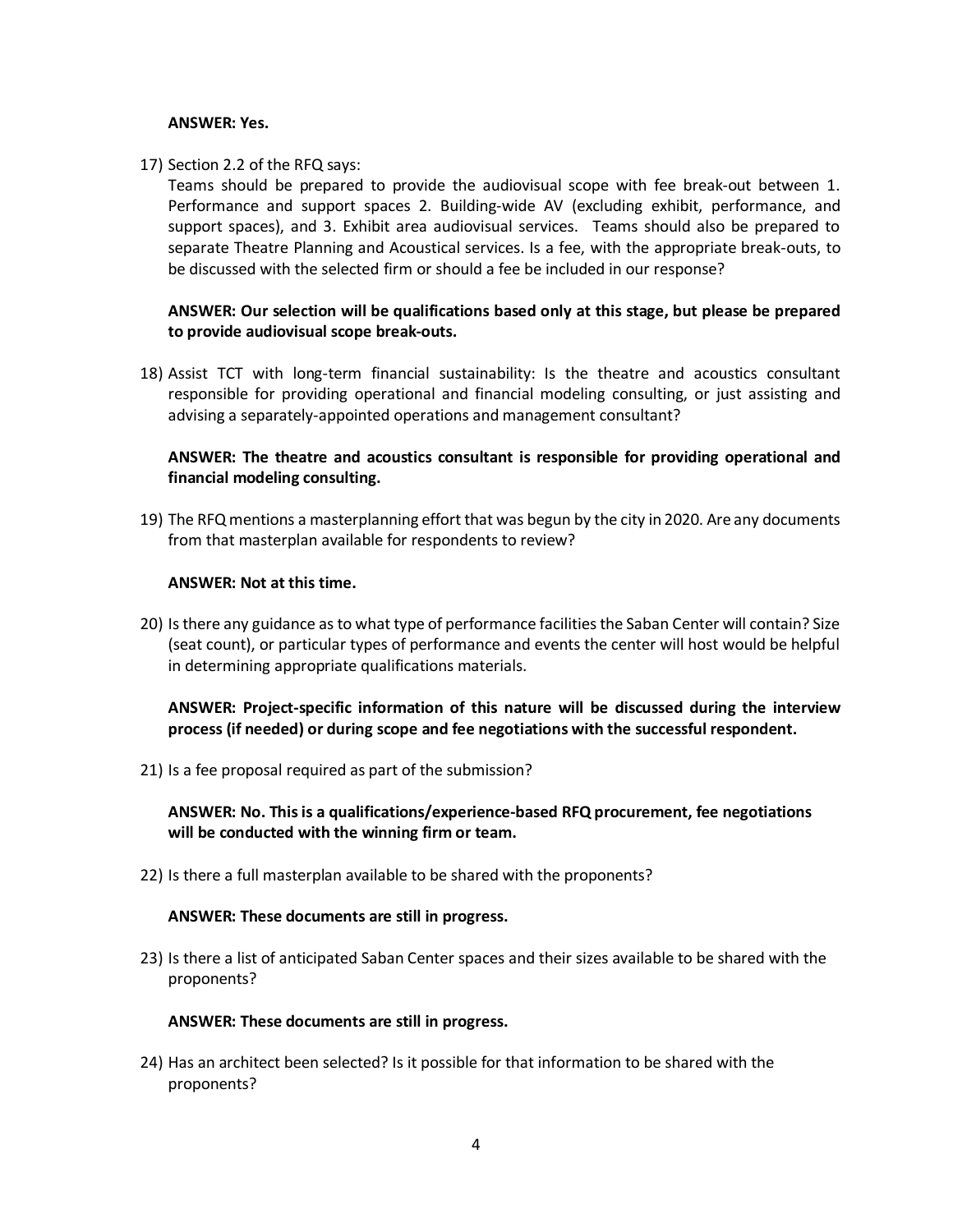#### **ANSWER: Yes.**

#### 17) Section 2.2 of the RFQ says:

Teams should be prepared to provide the audiovisual scope with fee break-out between 1. Performance and support spaces 2. Building-wide AV (excluding exhibit, performance, and support spaces), and 3. Exhibit area audiovisual services. Teams should also be prepared to separate Theatre Planning and Acoustical services. Is a fee, with the appropriate break-outs, to be discussed with the selected firm or should a fee be included in our response?

## **ANSWER: Our selection will be qualifications based only at this stage, but please be prepared to provide audiovisual scope break-outs.**

18) Assist TCT with long-term financial sustainability: Is the theatre and acoustics consultant responsible for providing operational and financial modeling consulting, or just assisting and advising a separately-appointed operations and management consultant?

## **ANSWER: The theatre and acoustics consultant is responsible for providing operational and financial modeling consulting.**

19) The RFQ mentions a masterplanning effort that was begun by the city in 2020. Are any documents from that masterplan available for respondents to review?

#### **ANSWER: Not at this time.**

20) Is there any guidance as to what type of performance facilities the Saban Center will contain? Size (seat count), or particular types of performance and events the center will host would be helpful in determining appropriate qualifications materials.

# **ANSWER: Project-specific information of this nature will be discussed during the interview process (if needed) or during scope and fee negotiations with the successful respondent.**

21) Is a fee proposal required as part of the submission?

**ANSWER: No. This is a qualifications/experience-based RFQ procurement, fee negotiations will be conducted with the winning firm or team.**

22) Is there a full masterplan available to be shared with the proponents?

#### **ANSWER: These documents are still in progress.**

23) Is there a list of anticipated Saban Center spaces and their sizes available to be shared with the proponents?

#### **ANSWER: These documents are still in progress.**

24) Has an architect been selected? Is it possible for that information to be shared with the proponents?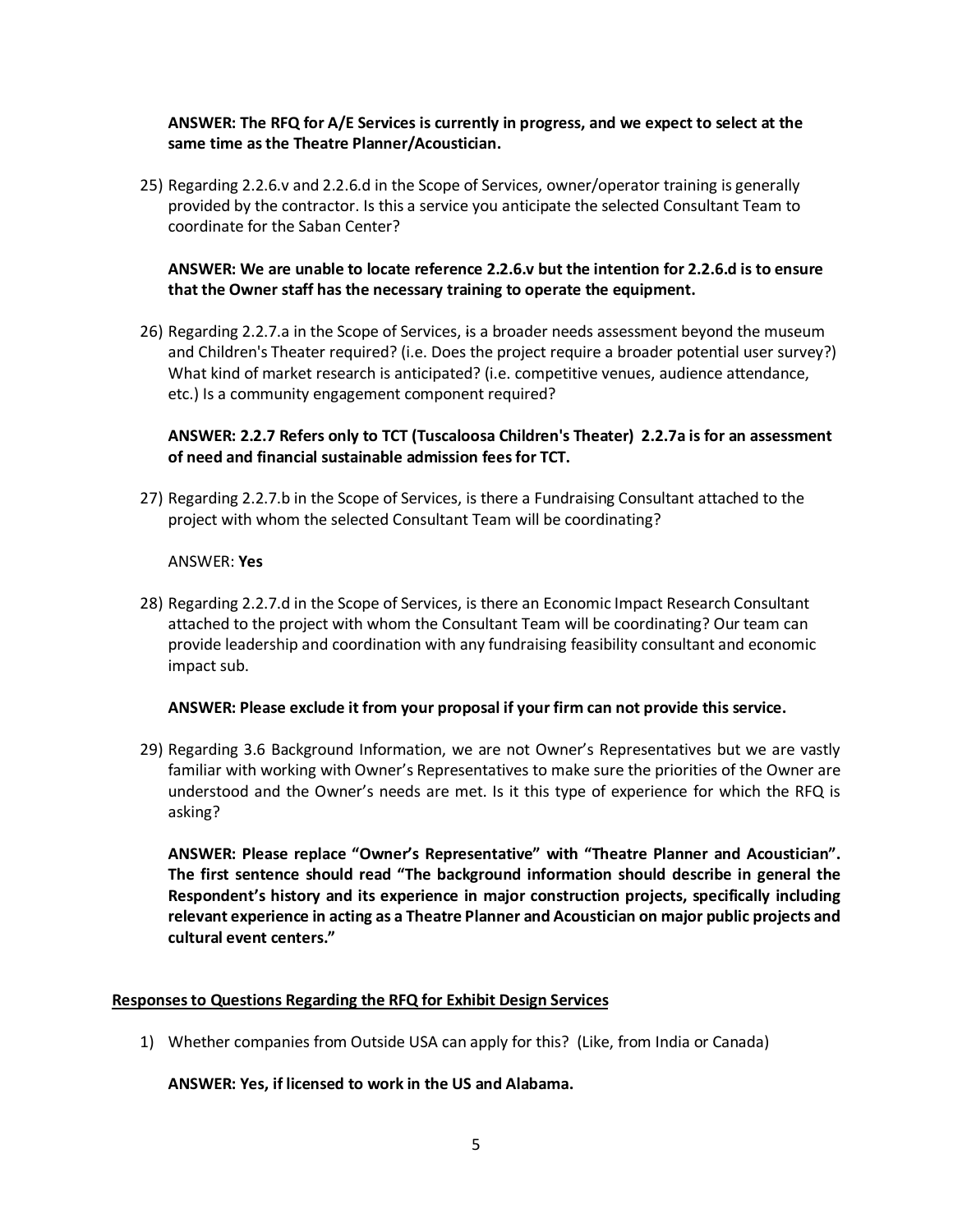## **ANSWER: The RFQ for A/E Services is currently in progress, and we expect to select at the same time as the Theatre Planner/Acoustician.**

25) Regarding 2.2.6.v and 2.2.6.d in the Scope of Services, owner/operator training is generally provided by the contractor. Is this a service you anticipate the selected Consultant Team to coordinate for the Saban Center?

# **ANSWER: We are unable to locate reference 2.2.6.v but the intention for 2.2.6.d is to ensure that the Owner staff has the necessary training to operate the equipment.**

26) Regarding 2.2.7.a in the Scope of Services, is a broader needs assessment beyond the museum and Children's Theater required? (i.e. Does the project require a broader potential user survey?) What kind of market research is anticipated? (i.e. competitive venues, audience attendance, etc.) Is a community engagement component required?

# **ANSWER: 2.2.7 Refers only to TCT (Tuscaloosa Children's Theater) 2.2.7a is for an assessment of need and financial sustainable admission fees for TCT.**

27) Regarding 2.2.7.b in the Scope of Services, is there a Fundraising Consultant attached to the project with whom the selected Consultant Team will be coordinating?

## ANSWER: **Yes**

28) Regarding 2.2.7.d in the Scope of Services, is there an Economic Impact Research Consultant attached to the project with whom the Consultant Team will be coordinating? Our team can provide leadership and coordination with any fundraising feasibility consultant and economic impact sub.

## **ANSWER: Please exclude it from your proposal if your firm can not provide this service.**

29) Regarding 3.6 Background Information, we are not Owner's Representatives but we are vastly familiar with working with Owner's Representatives to make sure the priorities of the Owner are understood and the Owner's needs are met. Is it this type of experience for which the RFQ is asking?

**ANSWER: Please replace "Owner's Representative" with "Theatre Planner and Acoustician". The first sentence should read "The background information should describe in general the Respondent's history and its experience in major construction projects, specifically including relevant experience in acting as a Theatre Planner and Acoustician on major public projects and cultural event centers."**

## **Responses to Questions Regarding the RFQ for Exhibit Design Services**

1) Whether companies from Outside USA can apply for this? (Like, from India or Canada)

## **ANSWER: Yes, if licensed to work in the US and Alabama.**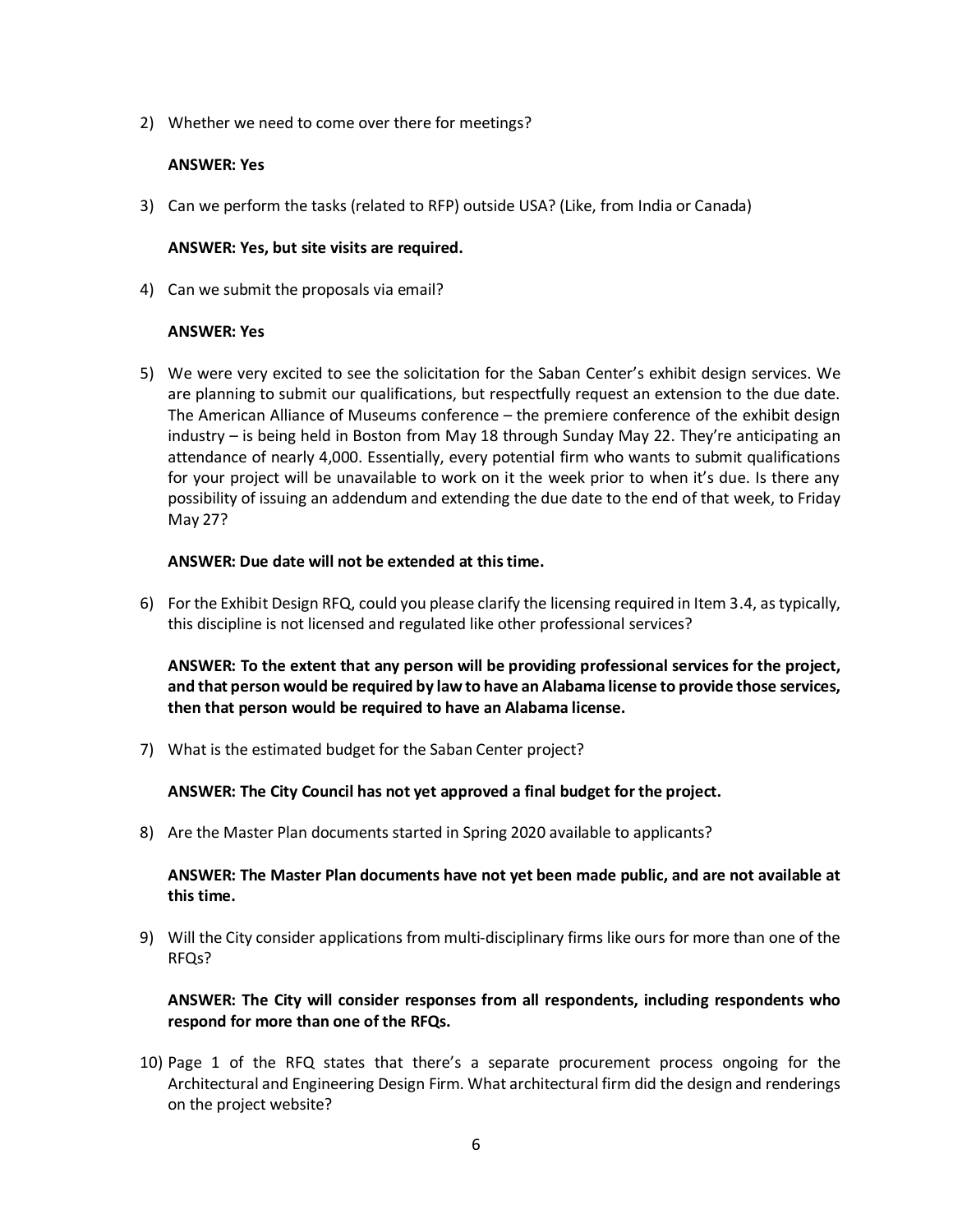2) Whether we need to come over there for meetings?

#### **ANSWER: Yes**

3) Can we perform the tasks (related to RFP) outside USA? (Like, from India or Canada)

#### **ANSWER: Yes, but site visits are required.**

4) Can we submit the proposals via email?

#### **ANSWER: Yes**

5) We were very excited to see the solicitation for the Saban Center's exhibit design services. We are planning to submit our qualifications, but respectfully request an extension to the due date. The American Alliance of Museums conference – the premiere conference of the exhibit design industry – is being held in Boston from May 18 through Sunday May 22. They're anticipating an attendance of nearly 4,000. Essentially, every potential firm who wants to submit qualifications for your project will be unavailable to work on it the week prior to when it's due. Is there any possibility of issuing an addendum and extending the due date to the end of that week, to Friday May 27?

#### **ANSWER: Due date will not be extended at this time.**

6) For the Exhibit Design RFQ, could you please clarify the licensing required in Item 3.4, as typically, this discipline is not licensed and regulated like other professional services?

**ANSWER: To the extent that any person will be providing professional services for the project, and that person would be required by law to have an Alabama license to provide those services, then that person would be required to have an Alabama license.**

7) What is the estimated budget for the Saban Center project?

**ANSWER: The City Council has not yet approved a final budget for the project.**

8) Are the Master Plan documents started in Spring 2020 available to applicants?

**ANSWER: The Master Plan documents have not yet been made public, and are not available at this time.**

9) Will the City consider applications from multi-disciplinary firms like ours for more than one of the RFQs?

**ANSWER: The City will consider responses from all respondents, including respondents who respond for more than one of the RFQs.**

10) Page 1 of the RFQ states that there's a separate procurement process ongoing for the Architectural and Engineering Design Firm. What architectural firm did the design and renderings on the project website?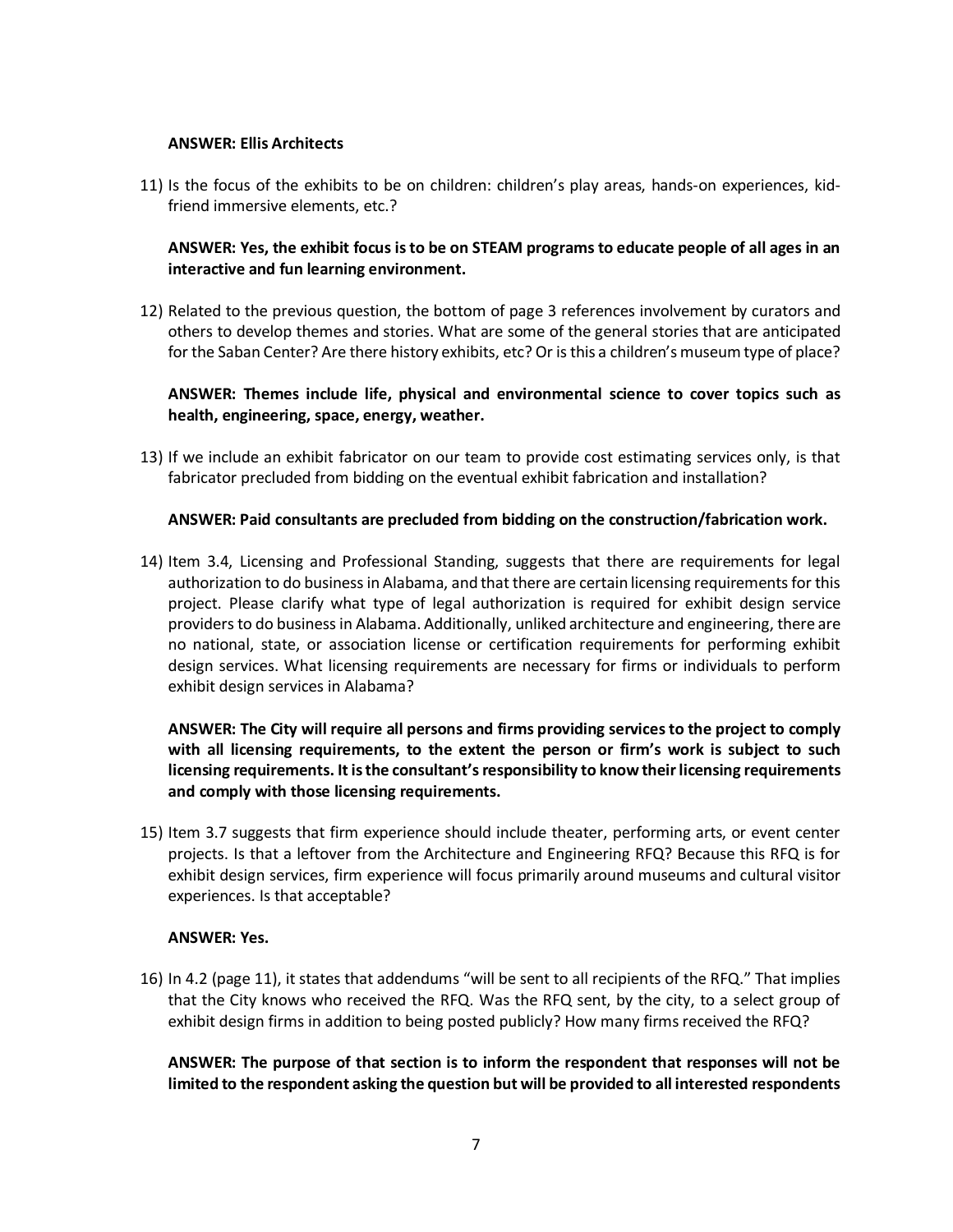#### **ANSWER: Ellis Architects**

11) Is the focus of the exhibits to be on children: children's play areas, hands-on experiences, kidfriend immersive elements, etc.?

# **ANSWER: Yes, the exhibit focus is to be on STEAM programs to educate people of all ages in an interactive and fun learning environment.**

12) Related to the previous question, the bottom of page 3 references involvement by curators and others to develop themes and stories. What are some of the general stories that are anticipated for the Saban Center? Are there history exhibits, etc? Or is this a children's museum type of place?

# **ANSWER: Themes include life, physical and environmental science to cover topics such as health, engineering, space, energy, weather.**

13) If we include an exhibit fabricator on our team to provide cost estimating services only, is that fabricator precluded from bidding on the eventual exhibit fabrication and installation?

#### **ANSWER: Paid consultants are precluded from bidding on the construction/fabrication work.**

14) Item 3.4, Licensing and Professional Standing, suggests that there are requirements for legal authorization to do business in Alabama, and that there are certain licensing requirements for this project. Please clarify what type of legal authorization is required for exhibit design service providers to do business in Alabama. Additionally, unliked architecture and engineering, there are no national, state, or association license or certification requirements for performing exhibit design services. What licensing requirements are necessary for firms or individuals to perform exhibit design services in Alabama?

# **ANSWER: The City will require all persons and firms providing services to the project to comply with all licensing requirements, to the extent the person or firm's work is subject to such licensing requirements. It is the consultant's responsibility to know their licensing requirements and comply with those licensing requirements.**

15) Item 3.7 suggests that firm experience should include theater, performing arts, or event center projects. Is that a leftover from the Architecture and Engineering RFQ? Because this RFQ is for exhibit design services, firm experience will focus primarily around museums and cultural visitor experiences. Is that acceptable?

#### **ANSWER: Yes.**

16) In 4.2 (page 11), it states that addendums "will be sent to all recipients of the RFQ." That implies that the City knows who received the RFQ. Was the RFQ sent, by the city, to a select group of exhibit design firms in addition to being posted publicly? How many firms received the RFQ?

**ANSWER: The purpose of that section is to inform the respondent that responses will not be limited to the respondent asking the question but will be provided to all interested respondents**